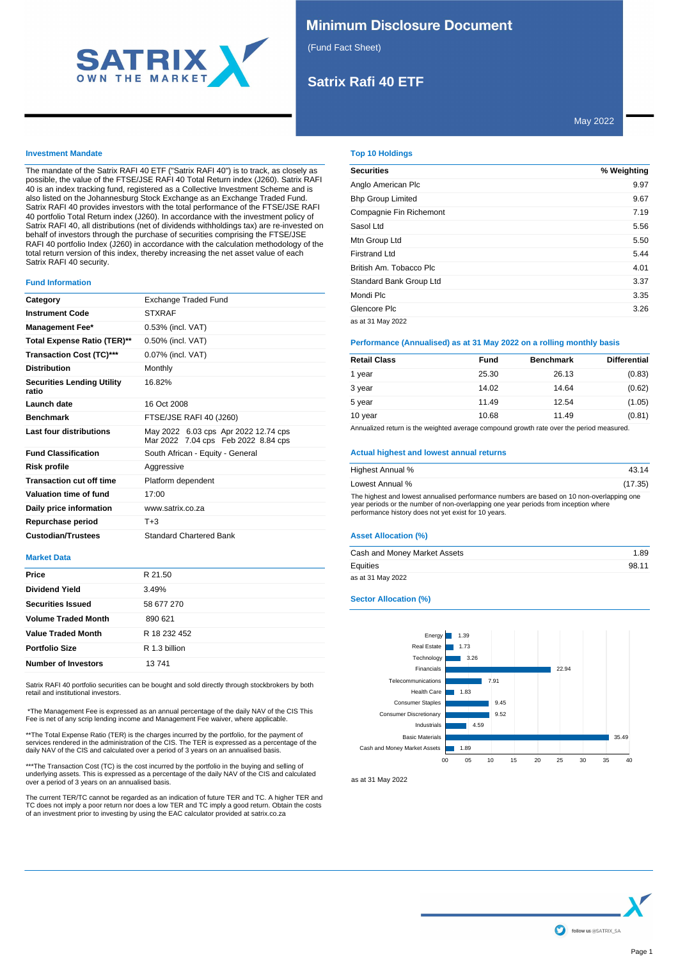

### **Minimum Disclosure Document**

(Fund Fact Sheet)

# **Satrix Rafi 40 ETF**

May 2022

#### **Investment Mandate**

The mandate of the Satrix RAFI 40 ETF ("Satrix RAFI 40") is to track, as closely as possible, the value of the FTSE/JSE RAFI 40 Total Return index (J260). Satrix RAFI 40 is an index tracking fund, registered as a Collective Investment Scheme and is also listed on the Johannesburg Stock Exchange as an Exchange Traded Fund. Satrix RAFI 40 provides investors with the total performance of the FTSE/JSE RAFI 40 portfolio Total Return index (J260). In accordance with the investment policy of Satrix RAFI 40, all distributions (net of dividends withholdings tax) are re-invested on behalf of investors through the purchase of securities comprising the FTSE/JSE RAFI 40 portfolio Index (J260) in accordance with the calculation methodology of the total return version of this index, thereby increasing the net asset value of each Satrix RAFI 40 security.

#### **Fund Information**

| Category                                   | Exchange Traded Fund                                                        |
|--------------------------------------------|-----------------------------------------------------------------------------|
| <b>Instrument Code</b>                     | <b>STXRAF</b>                                                               |
| <b>Management Fee*</b>                     | 0.53% (incl. VAT)                                                           |
| Total Expense Ratio (TER)**                | 0.50% (incl. VAT)                                                           |
| <b>Transaction Cost (TC)***</b>            | 0.07% (incl. VAT)                                                           |
| <b>Distribution</b>                        | Monthly                                                                     |
| <b>Securities Lending Utility</b><br>ratio | 16.82%                                                                      |
| Launch date                                | 16 Oct 2008                                                                 |
| <b>Benchmark</b>                           | FTSE/JSE RAFI 40 (J260)                                                     |
| Last four distributions                    | May 2022 6.03 cps Apr 2022 12.74 cps<br>Mar 2022 7.04 cps Feb 2022 8.84 cps |
| <b>Fund Classification</b>                 | South African - Equity - General                                            |
| Risk profile                               | Aggressive                                                                  |
| <b>Transaction cut off time</b>            | Platform dependent                                                          |
| Valuation time of fund                     | 17:00                                                                       |
| Daily price information                    | www.satrix.co.za                                                            |
| Repurchase period                          | $T + 3$                                                                     |
| <b>Custodian/Trustees</b>                  | <b>Standard Chartered Bank</b>                                              |

#### **Market Data**

| Price                      | R 21.50       |
|----------------------------|---------------|
| <b>Dividend Yield</b>      | 3.49%         |
| <b>Securities Issued</b>   | 58 677 270    |
| <b>Volume Traded Month</b> | 890 621       |
| <b>Value Traded Month</b>  | R 18 232 452  |
| <b>Portfolio Size</b>      | R 1.3 billion |
| <b>Number of Investors</b> | 13741         |

Satrix RAFI 40 portfolio securities can be bought and sold directly through stockbrokers by both retail and institutional investors.

\*The Management Fee is expressed as an annual percentage of the daily NAV of the CIS This Fee is net of any scrip lending income and Management Fee waiver, where applicable.

\*\*The Total Expense Ratio (TER) is the charges incurred by the portfolio, for the payment of services rendered in the administration of the CIS. The TER is expressed as a percentage of the daily NAV of the CIS and calculated over a period of 3 years on an annualised basis.

\*\*\*The Transaction Cost (TC) is the cost incurred by the portfolio in the buying and selling of underlying assets. This is expressed as a percentage of the daily NAV of the CIS and calculated over a period of 3 years on an annualised basis.

The current TER/TC cannot be regarded as an indication of future TER and TC. A higher TER and<br>TC does not imply a poor return nor does a low TER and TC imply a good return. Obtain the costs<br>of an investment prior to invest

### **Top 10 Holdings**

| <b>Securities</b>        | % Weighting |
|--------------------------|-------------|
| Anglo American Plc       | 9.97        |
| <b>Bhp Group Limited</b> | 9.67        |
| Compagnie Fin Richemont  | 7.19        |
| Sasol Ltd                | 5.56        |
| Mtn Group Ltd            | 5.50        |
| <b>Firstrand Ltd</b>     | 5.44        |
| British Am. Tobacco Plc  | 4.01        |
| Standard Bank Group Ltd  | 3.37        |
| Mondi Plc                | 3.35        |
| Glencore Plc             | 3.26        |
| as at 31 May 2022        |             |

#### **Performance (Annualised) as at 31 May 2022 on a rolling monthly basis**

| <b>Retail Class</b> | Fund  | <b>Benchmark</b> | <b>Differential</b> |
|---------------------|-------|------------------|---------------------|
| 1 year              | 25.30 | 26.13            | (0.83)              |
| 3 year              | 14.02 | 14.64            | (0.62)              |
| 5 year              | 11.49 | 12.54            | (1.05)              |
| 10 year             | 10.68 | 11.49            | (0.81)              |

Annualized return is the weighted average compound growth rate over the period measured.

#### **Actual highest and lowest annual returns**

| Highest Annual %                                                                                                                                                                                                                         | 43.14   |
|------------------------------------------------------------------------------------------------------------------------------------------------------------------------------------------------------------------------------------------|---------|
| Lowest Annual %                                                                                                                                                                                                                          | (17.35) |
| The highest and lowest annualised performance numbers are based on 10 non-overlapping one<br>year periods or the number of non-overlapping one year periods from inception where<br>performance history does not yet exist for 10 years. |         |

#### **Asset Allocation (%)**

| Cash and Money Market Assets | 1.89  |
|------------------------------|-------|
| Equities                     | 98.11 |
| as at 31 May 2022            |       |

#### **Sector Allocation (%)**



as at 31 May 2022